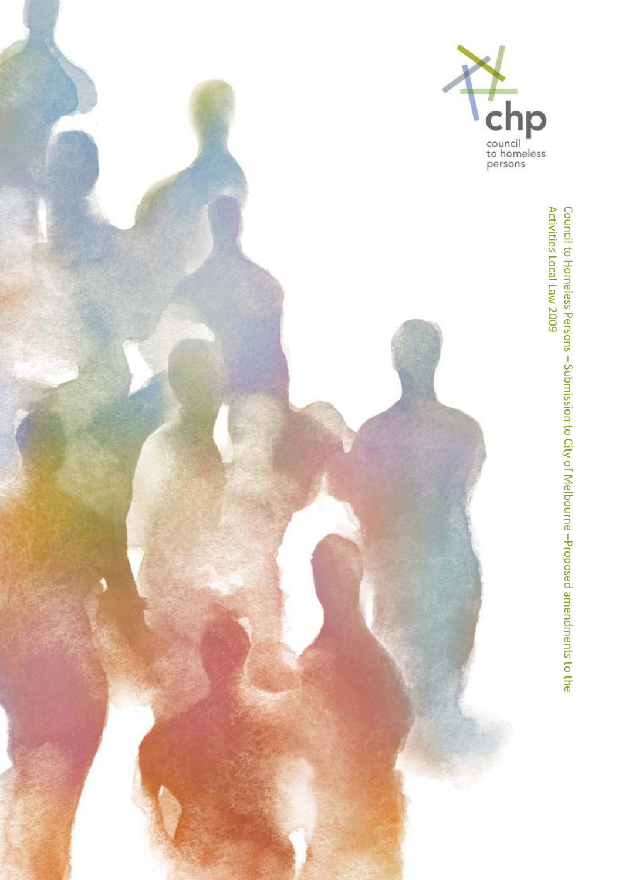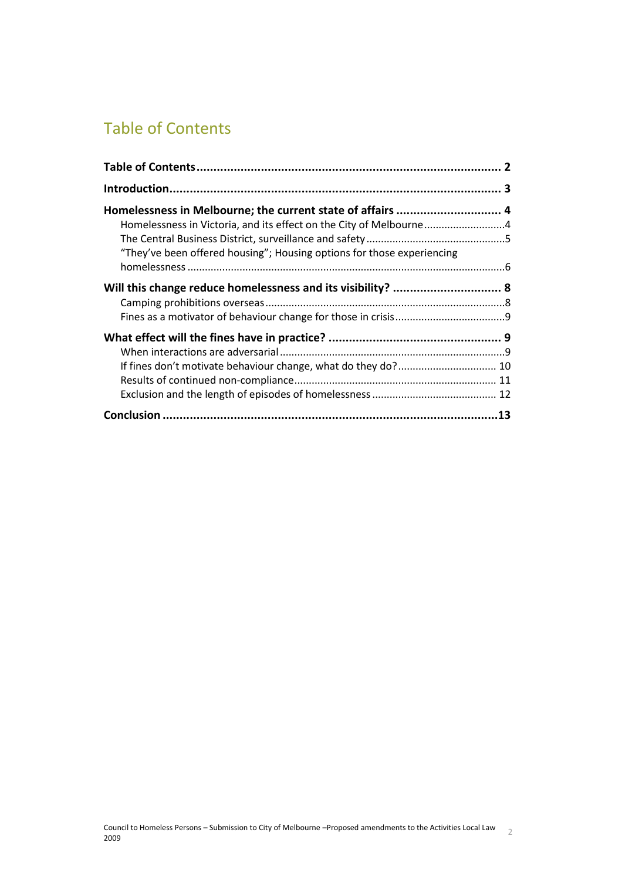# <span id="page-1-0"></span>Table of Contents

| Homelessness in Melbourne; the current state of affairs  4<br>Homelessness in Victoria, and its effect on the City of Melbourne4<br>"They've been offered housing"; Housing options for those experiencing |  |
|------------------------------------------------------------------------------------------------------------------------------------------------------------------------------------------------------------|--|
|                                                                                                                                                                                                            |  |
| If fines don't motivate behaviour change, what do they do? 10                                                                                                                                              |  |
|                                                                                                                                                                                                            |  |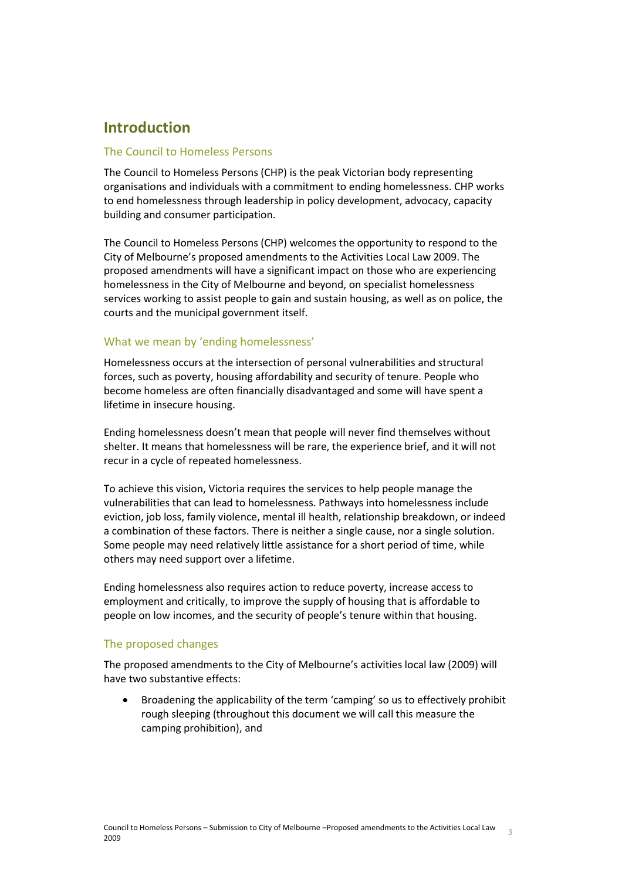## <span id="page-2-0"></span>**Introduction**

## The Council to Homeless Persons

The Council to Homeless Persons (CHP) is the peak Victorian body representing organisations and individuals with a commitment to ending homelessness. CHP works to end homelessness through leadership in policy development, advocacy, capacity building and consumer participation.

The Council to Homeless Persons (CHP) welcomes the opportunity to respond to the City of Melbourne's proposed amendments to the Activities Local Law 2009. The proposed amendments will have a significant impact on those who are experiencing homelessness in the City of Melbourne and beyond, on specialist homelessness services working to assist people to gain and sustain housing, as well as on police, the courts and the municipal government itself.

### What we mean by 'ending homelessness'

Homelessness occurs at the intersection of personal vulnerabilities and structural forces, such as poverty, housing affordability and security of tenure. People who become homeless are often financially disadvantaged and some will have spent a lifetime in insecure housing.

Ending homelessness doesn't mean that people will never find themselves without shelter. It means that homelessness will be rare, the experience brief, and it will not recur in a cycle of repeated homelessness.

To achieve this vision, Victoria requires the services to help people manage the vulnerabilities that can lead to homelessness. Pathways into homelessness include eviction, job loss, family violence, mental ill health, relationship breakdown, or indeed a combination of these factors. There is neither a single cause, nor a single solution. Some people may need relatively little assistance for a short period of time, while others may need support over a lifetime.

Ending homelessness also requires action to reduce poverty, increase access to employment and critically, to improve the supply of housing that is affordable to people on low incomes, and the security of people's tenure within that housing.

#### The proposed changes

The proposed amendments to the City of Melbourne's activities local law (2009) will have two substantive effects:

 Broadening the applicability of the term 'camping' so us to effectively prohibit rough sleeping (throughout this document we will call this measure the camping prohibition), and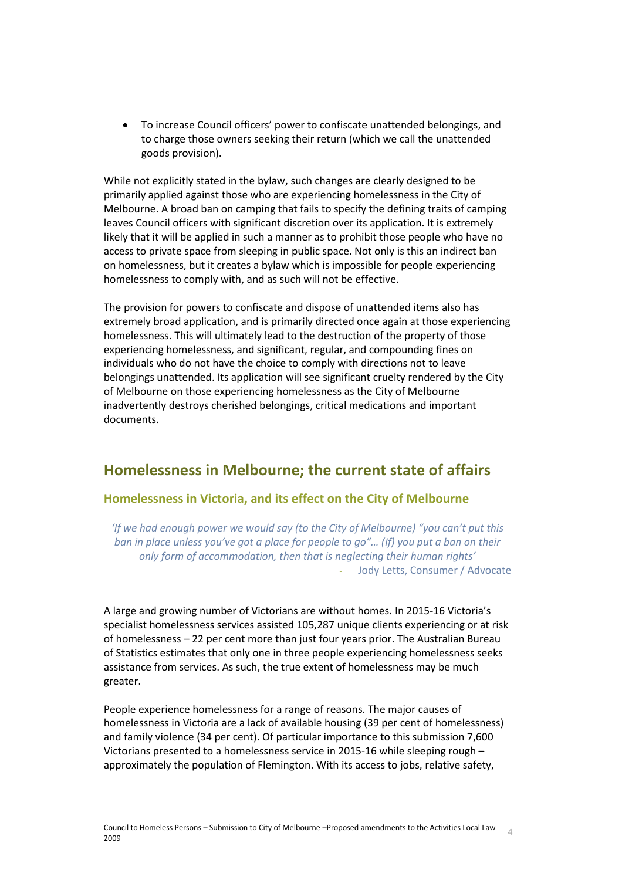To increase Council officers' power to confiscate unattended belongings, and to charge those owners seeking their return (which we call the unattended goods provision).

While not explicitly stated in the bylaw, such changes are clearly designed to be primarily applied against those who are experiencing homelessness in the City of Melbourne. A broad ban on camping that fails to specify the defining traits of camping leaves Council officers with significant discretion over its application. It is extremely likely that it will be applied in such a manner as to prohibit those people who have no access to private space from sleeping in public space. Not only is this an indirect ban on homelessness, but it creates a bylaw which is impossible for people experiencing homelessness to comply with, and as such will not be effective.

The provision for powers to confiscate and dispose of unattended items also has extremely broad application, and is primarily directed once again at those experiencing homelessness. This will ultimately lead to the destruction of the property of those experiencing homelessness, and significant, regular, and compounding fines on individuals who do not have the choice to comply with directions not to leave belongings unattended. Its application will see significant cruelty rendered by the City of Melbourne on those experiencing homelessness as the City of Melbourne inadvertently destroys cherished belongings, critical medications and important documents.

## <span id="page-3-0"></span>**Homelessness in Melbourne; the current state of affairs**

## <span id="page-3-1"></span>**Homelessness in Victoria, and its effect on the City of Melbourne**

*'If we had enough power we would say (to the City of Melbourne) "you can't put this ban in place unless you've got a place for people to go"... (If) you put a ban on their only form of accommodation, then that is neglecting their human rights'* - Jody Letts, Consumer / Advocate

A large and growing number of Victorians are without homes. In 2015-16 Victoria's specialist homelessness services assisted 105,287 unique clients experiencing or at risk of homelessness – 22 per cent more than just four years prior. The Australian Bureau of Statistics estimates that only one in three people experiencing homelessness seeks assistance from services. As such, the true extent of homelessness may be much greater.

People experience homelessness for a range of reasons. The major causes of homelessness in Victoria are a lack of available housing (39 per cent of homelessness) and family violence (34 per cent). Of particular importance to this submission 7,600 Victorians presented to a homelessness service in 2015-16 while sleeping rough – approximately the population of Flemington. With its access to jobs, relative safety,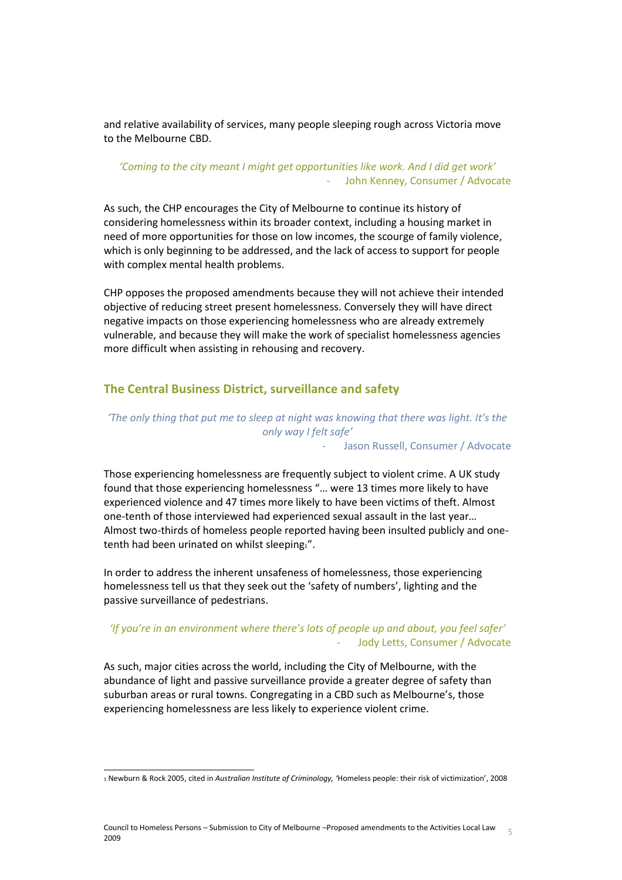and relative availability of services, many people sleeping rough across Victoria move to the Melbourne CBD.

### *'Coming to the city meant I might get opportunities like work. And I did get work'* - John Kenney, Consumer / Advocate

As such, the CHP encourages the City of Melbourne to continue its history of considering homelessness within its broader context, including a housing market in need of more opportunities for those on low incomes, the scourge of family violence, which is only beginning to be addressed, and the lack of access to support for people with complex mental health problems.

CHP opposes the proposed amendments because they will not achieve their intended objective of reducing street present homelessness. Conversely they will have direct negative impacts on those experiencing homelessness who are already extremely vulnerable, and because they will make the work of specialist homelessness agencies more difficult when assisting in rehousing and recovery.

## <span id="page-4-0"></span>**The Central Business District, surveillance and safety**

## *'The only thing that put me to sleep at night was knowing that there was light. It's the only way I felt safe'*

Jason Russell, Consumer / Advocate

Those experiencing homelessness are frequently subject to violent crime. A UK study found that those experiencing homelessness "… were 13 times more likely to have experienced violence and 47 times more likely to have been victims of theft. Almost one-tenth of those interviewed had experienced sexual assault in the last year… Almost two-thirds of homeless people reported having been insulted publicly and onetenth had been urinated on whilst sleeping1".

In order to address the inherent unsafeness of homelessness, those experiencing homelessness tell us that they seek out the 'safety of numbers', lighting and the passive surveillance of pedestrians.

## *'If you're in an environment where there's lots of people up and about, you feel safer'* - Jody Letts, Consumer / Advocate

As such, major cities across the world, including the City of Melbourne, with the abundance of light and passive surveillance provide a greater degree of safety than suburban areas or rural towns. Congregating in a CBD such as Melbourne's, those experiencing homelessness are less likely to experience violent crime.

<sup>1</sup> Newburn & Rock 2005, cited in *Australian Institute of Criminology, '*Homeless people: their risk of victimization', 2008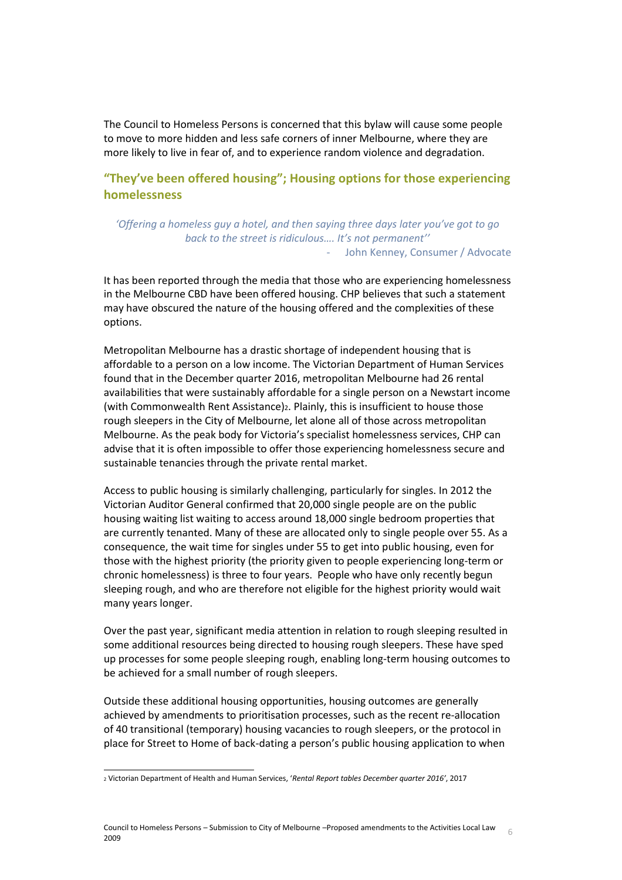The Council to Homeless Persons is concerned that this bylaw will cause some people to move to more hidden and less safe corners of inner Melbourne, where they are more likely to live in fear of, and to experience random violence and degradation.

<span id="page-5-0"></span>**"They've been offered housing"; Housing options for those experiencing homelessness**

*'Offering a homeless guy a hotel, and then saying three days later you've got to go back to the street is ridiculous…. It's not permanent''* - John Kenney, Consumer / Advocate

It has been reported through the media that those who are experiencing homelessness in the Melbourne CBD have been offered housing. CHP believes that such a statement may have obscured the nature of the housing offered and the complexities of these options.

Metropolitan Melbourne has a drastic shortage of independent housing that is affordable to a person on a low income. The Victorian Department of Human Services found that in the December quarter 2016, metropolitan Melbourne had 26 rental availabilities that were sustainably affordable for a single person on a Newstart income (with Commonwealth Rent Assistance)2. Plainly, this is insufficient to house those rough sleepers in the City of Melbourne, let alone all of those across metropolitan Melbourne. As the peak body for Victoria's specialist homelessness services, CHP can advise that it is often impossible to offer those experiencing homelessness secure and sustainable tenancies through the private rental market.

Access to public housing is similarly challenging, particularly for singles. In 2012 the Victorian Auditor General confirmed that 20,000 single people are on the public housing waiting list waiting to access around 18,000 single bedroom properties that are currently tenanted. Many of these are allocated only to single people over 55. As a consequence, the wait time for singles under 55 to get into public housing, even for those with the highest priority (the priority given to people experiencing long-term or chronic homelessness) is three to four years. People who have only recently begun sleeping rough, and who are therefore not eligible for the highest priority would wait many years longer.

Over the past year, significant media attention in relation to rough sleeping resulted in some additional resources being directed to housing rough sleepers. These have sped up processes for some people sleeping rough, enabling long-term housing outcomes to be achieved for a small number of rough sleepers.

Outside these additional housing opportunities, housing outcomes are generally achieved by amendments to prioritisation processes, such as the recent re-allocation of 40 transitional (temporary) housing vacancies to rough sleepers, or the protocol in place for Street to Home of back-dating a person's public housing application to when

<sup>2</sup> Victorian Department of Health and Human Services, '*Rental Report tables December quarter 2016'*, 2017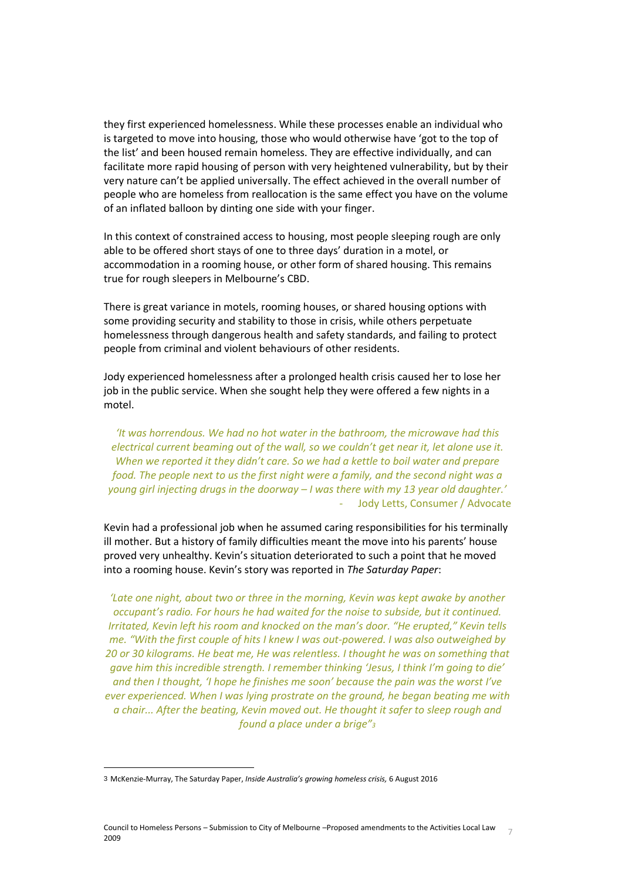they first experienced homelessness. While these processes enable an individual who is targeted to move into housing, those who would otherwise have 'got to the top of the list' and been housed remain homeless. They are effective individually, and can facilitate more rapid housing of person with very heightened vulnerability, but by their very nature can't be applied universally. The effect achieved in the overall number of people who are homeless from reallocation is the same effect you have on the volume of an inflated balloon by dinting one side with your finger.

In this context of constrained access to housing, most people sleeping rough are only able to be offered short stays of one to three days' duration in a motel, or accommodation in a rooming house, or other form of shared housing. This remains true for rough sleepers in Melbourne's CBD.

There is great variance in motels, rooming houses, or shared housing options with some providing security and stability to those in crisis, while others perpetuate homelessness through dangerous health and safety standards, and failing to protect people from criminal and violent behaviours of other residents.

Jody experienced homelessness after a prolonged health crisis caused her to lose her job in the public service. When she sought help they were offered a few nights in a motel.

*'It was horrendous. We had no hot water in the bathroom, the microwave had this electrical current beaming out of the wall, so we couldn't get near it, let alone use it. When we reported it they didn't care. So we had a kettle to boil water and prepare food. The people next to us the first night were a family, and the second night was a young girl injecting drugs in the doorway – I was there with my 13 year old daughter.'*  - Jody Letts, Consumer / Advocate

Kevin had a professional job when he assumed caring responsibilities for his terminally ill mother. But a history of family difficulties meant the move into his parents' house proved very unhealthy. Kevin's situation deteriorated to such a point that he moved into a rooming house. Kevin's story was reported in *The Saturday Paper*:

*'Late one night, about two or three in the morning, Kevin was kept awake by another occupant's radio. For hours he had waited for the noise to subside, but it continued. Irritated, Kevin left his room and knocked on the man's door. "He erupted," Kevin tells me. "With the first couple of hits I knew I was out-powered. I was also outweighed by 20 or 30 kilograms. He beat me, He was relentless. I thought he was on something that gave him this incredible strength. I remember thinking 'Jesus, I think I'm going to die' and then I thought, 'I hope he finishes me soon' because the pain was the worst I've ever experienced. When I was lying prostrate on the ground, he began beating me with a chair... After the beating, Kevin moved out. He thought it safer to sleep rough and found a place under a brige"<sup>3</sup>*

<sup>3</sup> McKenzie-Murray, The Saturday Paper, *Inside Australia's growing homeless crisis,* 6 August 2016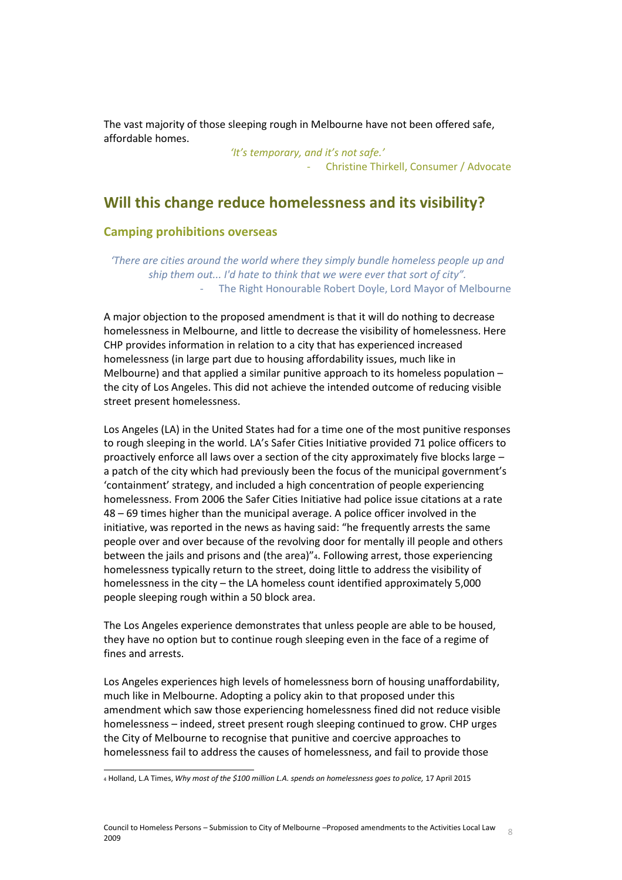The vast majority of those sleeping rough in Melbourne have not been offered safe, affordable homes.

> *'It's temporary, and it's not safe.'*  - Christine Thirkell, Consumer / Advocate

## <span id="page-7-0"></span>**Will this change reduce homelessness and its visibility?**

## <span id="page-7-1"></span>**Camping prohibitions overseas**

*'There are cities around the world where they simply bundle homeless people up and ship them out... I'd hate to think that we were ever that sort of city".* - The Right Honourable Robert Doyle, Lord Mayor of Melbourne

A major objection to the proposed amendment is that it will do nothing to decrease homelessness in Melbourne, and little to decrease the visibility of homelessness. Here CHP provides information in relation to a city that has experienced increased homelessness (in large part due to housing affordability issues, much like in Melbourne) and that applied a similar punitive approach to its homeless population – the city of Los Angeles. This did not achieve the intended outcome of reducing visible street present homelessness.

Los Angeles (LA) in the United States had for a time one of the most punitive responses to rough sleeping in the world. LA's Safer Cities Initiative provided 71 police officers to proactively enforce all laws over a section of the city approximately five blocks large – a patch of the city which had previously been the focus of the municipal government's 'containment' strategy, and included a high concentration of people experiencing homelessness. From 2006 the Safer Cities Initiative had police issue citations at a rate 48 – 69 times higher than the municipal average. A police officer involved in the initiative, was reported in the news as having said: "he frequently arrests the same people over and over because of the revolving door for mentally ill people and others between the jails and prisons and (the area)"4. Following arrest, those experiencing homelessness typically return to the street, doing little to address the visibility of homelessness in the city – the LA homeless count identified approximately 5,000 people sleeping rough within a 50 block area.

The Los Angeles experience demonstrates that unless people are able to be housed, they have no option but to continue rough sleeping even in the face of a regime of fines and arrests.

Los Angeles experiences high levels of homelessness born of housing unaffordability, much like in Melbourne. Adopting a policy akin to that proposed under this amendment which saw those experiencing homelessness fined did not reduce visible homelessness – indeed, street present rough sleeping continued to grow. CHP urges the City of Melbourne to recognise that punitive and coercive approaches to homelessness fail to address the causes of homelessness, and fail to provide those

<sup>4</sup> Holland, L.A Times, *Why most of the \$100 million L.A. spends on homelessness goes to police,* 17 April 2015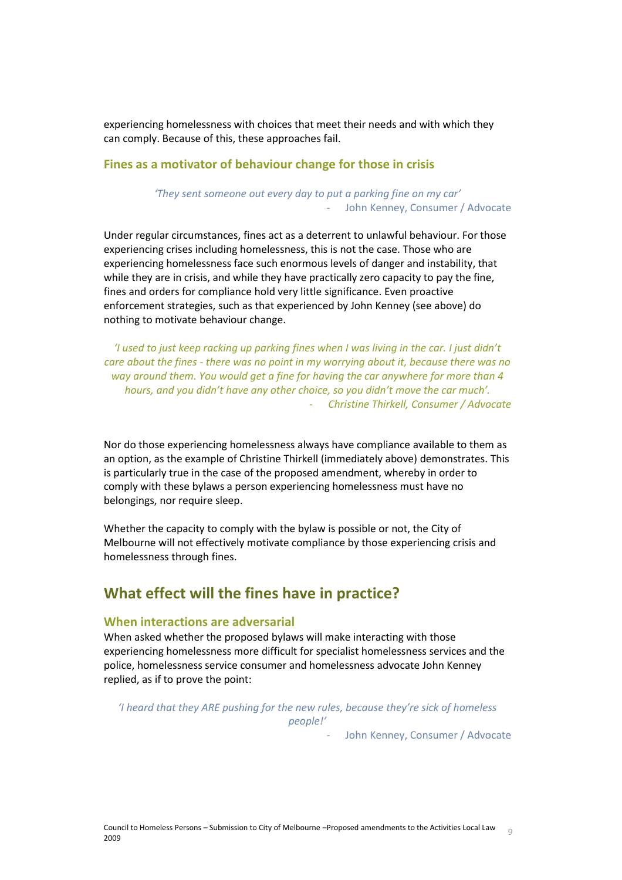experiencing homelessness with choices that meet their needs and with which they can comply. Because of this, these approaches fail.

#### <span id="page-8-0"></span>**Fines as a motivator of behaviour change for those in crisis**

#### *'They sent someone out every day to put a parking fine on my car'* - John Kenney, Consumer / Advocate

Under regular circumstances, fines act as a deterrent to unlawful behaviour. For those experiencing crises including homelessness, this is not the case. Those who are experiencing homelessness face such enormous levels of danger and instability, that while they are in crisis, and while they have practically zero capacity to pay the fine, fines and orders for compliance hold very little significance. Even proactive enforcement strategies, such as that experienced by John Kenney (see above) do nothing to motivate behaviour change.

*'I used to just keep racking up parking fines when I was living in the car. I just didn't care about the fines - there was no point in my worrying about it, because there was no way around them. You would get a fine for having the car anywhere for more than 4 hours, and you didn't have any other choice, so you didn't move the car much'.* - *Christine Thirkell, Consumer / Advocate*

Nor do those experiencing homelessness always have compliance available to them as an option, as the example of Christine Thirkell (immediately above) demonstrates. This is particularly true in the case of the proposed amendment, whereby in order to comply with these bylaws a person experiencing homelessness must have no belongings, nor require sleep.

Whether the capacity to comply with the bylaw is possible or not, the City of Melbourne will not effectively motivate compliance by those experiencing crisis and homelessness through fines.

## <span id="page-8-1"></span>**What effect will the fines have in practice?**

#### <span id="page-8-2"></span>**When interactions are adversarial**

When asked whether the proposed bylaws will make interacting with those experiencing homelessness more difficult for specialist homelessness services and the police, homelessness service consumer and homelessness advocate John Kenney replied, as if to prove the point:

*'I heard that they ARE pushing for the new rules, because they're sick of homeless people!'*

- John Kenney, Consumer / Advocate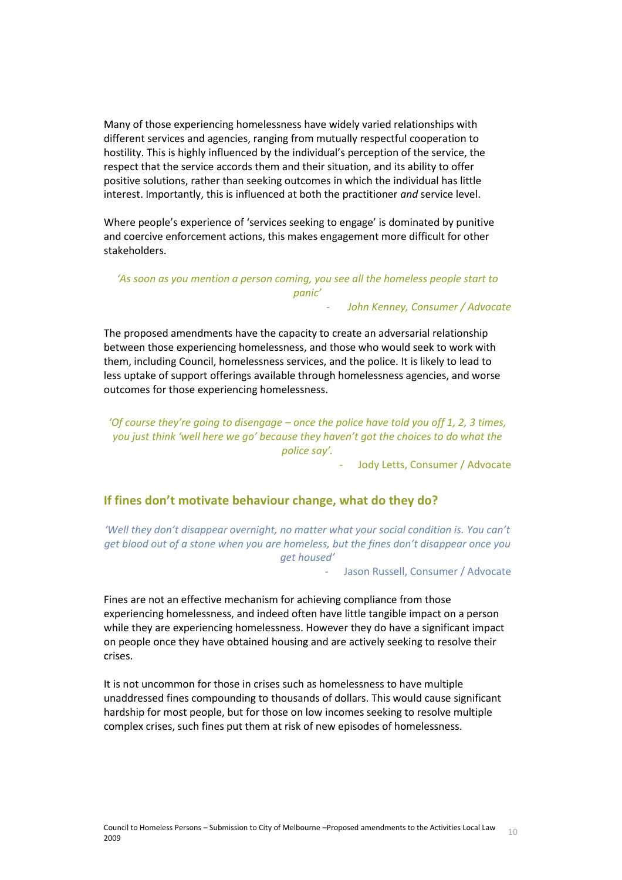Many of those experiencing homelessness have widely varied relationships with different services and agencies, ranging from mutually respectful cooperation to hostility. This is highly influenced by the individual's perception of the service, the respect that the service accords them and their situation, and its ability to offer positive solutions, rather than seeking outcomes in which the individual has little interest. Importantly, this is influenced at both the practitioner *and* service level.

Where people's experience of 'services seeking to engage' is dominated by punitive and coercive enforcement actions, this makes engagement more difficult for other stakeholders.

*'As soon as you mention a person coming, you see all the homeless people start to panic'*

- *John Kenney, Consumer / Advocate*

The proposed amendments have the capacity to create an adversarial relationship between those experiencing homelessness, and those who would seek to work with them, including Council, homelessness services, and the police. It is likely to lead to less uptake of support offerings available through homelessness agencies, and worse outcomes for those experiencing homelessness.

## *'Of course they're going to disengage – once the police have told you off 1, 2, 3 times, you just think 'well here we go' because they haven't got the choices to do what the police say'.*

- Jody Letts, Consumer / Advocate

#### <span id="page-9-0"></span>**If fines don't motivate behaviour change, what do they do?**

*'Well they don't disappear overnight, no matter what your social condition is. You can't get blood out of a stone when you are homeless, but the fines don't disappear once you get housed'*

Jason Russell, Consumer / Advocate

Fines are not an effective mechanism for achieving compliance from those experiencing homelessness, and indeed often have little tangible impact on a person while they are experiencing homelessness. However they do have a significant impact on people once they have obtained housing and are actively seeking to resolve their crises.

It is not uncommon for those in crises such as homelessness to have multiple unaddressed fines compounding to thousands of dollars. This would cause significant hardship for most people, but for those on low incomes seeking to resolve multiple complex crises, such fines put them at risk of new episodes of homelessness.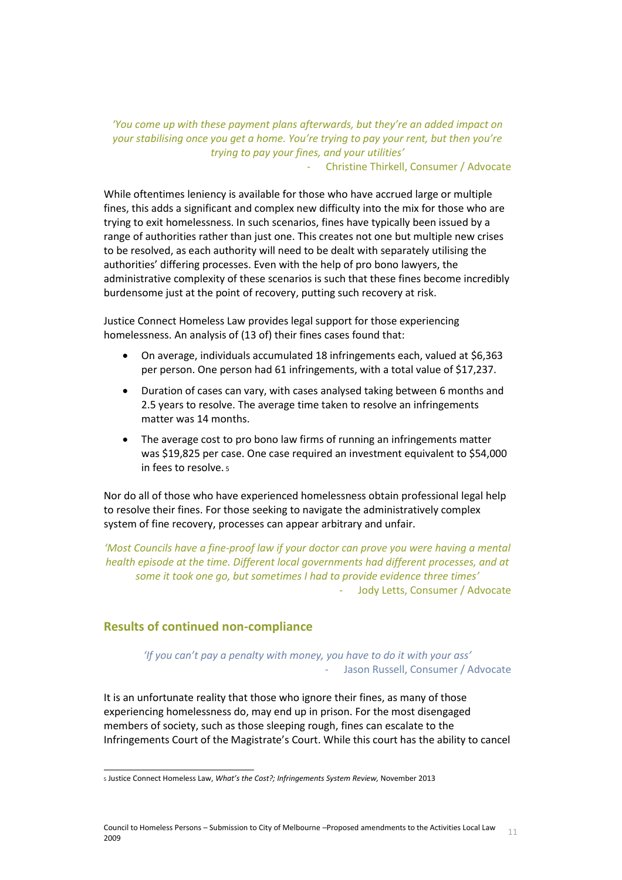*'You come up with these payment plans afterwards, but they're an added impact on your stabilising once you get a home. You're trying to pay your rent, but then you're trying to pay your fines, and your utilities'*

- Christine Thirkell, Consumer / Advocate

While oftentimes leniency is available for those who have accrued large or multiple fines, this adds a significant and complex new difficulty into the mix for those who are trying to exit homelessness. In such scenarios, fines have typically been issued by a range of authorities rather than just one. This creates not one but multiple new crises to be resolved, as each authority will need to be dealt with separately utilising the authorities' differing processes. Even with the help of pro bono lawyers, the administrative complexity of these scenarios is such that these fines become incredibly burdensome just at the point of recovery, putting such recovery at risk.

Justice Connect Homeless Law provides legal support for those experiencing homelessness. An analysis of (13 of) their fines cases found that:

- On average, individuals accumulated 18 infringements each, valued at \$6,363 per person. One person had 61 infringements, with a total value of \$17,237.
- Duration of cases can vary, with cases analysed taking between 6 months and 2.5 years to resolve. The average time taken to resolve an infringements matter was 14 months.
- The average cost to pro bono law firms of running an infringements matter was \$19,825 per case. One case required an investment equivalent to \$54,000 in fees to resolve. <sup>5</sup>

Nor do all of those who have experienced homelessness obtain professional legal help to resolve their fines. For those seeking to navigate the administratively complex system of fine recovery, processes can appear arbitrary and unfair.

*'Most Councils have a fine-proof law if your doctor can prove you were having a mental health episode at the time. Different local governments had different processes, and at some it took one go, but sometimes I had to provide evidence three times'* - Jody Letts, Consumer / Advocate

## <span id="page-10-0"></span>**Results of continued non-compliance**

l

*'If you can't pay a penalty with money, you have to do it with your ass'* - Jason Russell, Consumer / Advocate

It is an unfortunate reality that those who ignore their fines, as many of those experiencing homelessness do, may end up in prison. For the most disengaged members of society, such as those sleeping rough, fines can escalate to the Infringements Court of the Magistrate's Court. While this court has the ability to cancel

<sup>5</sup> Justice Connect Homeless Law, *What's the Cost?; Infringements System Review,* November 2013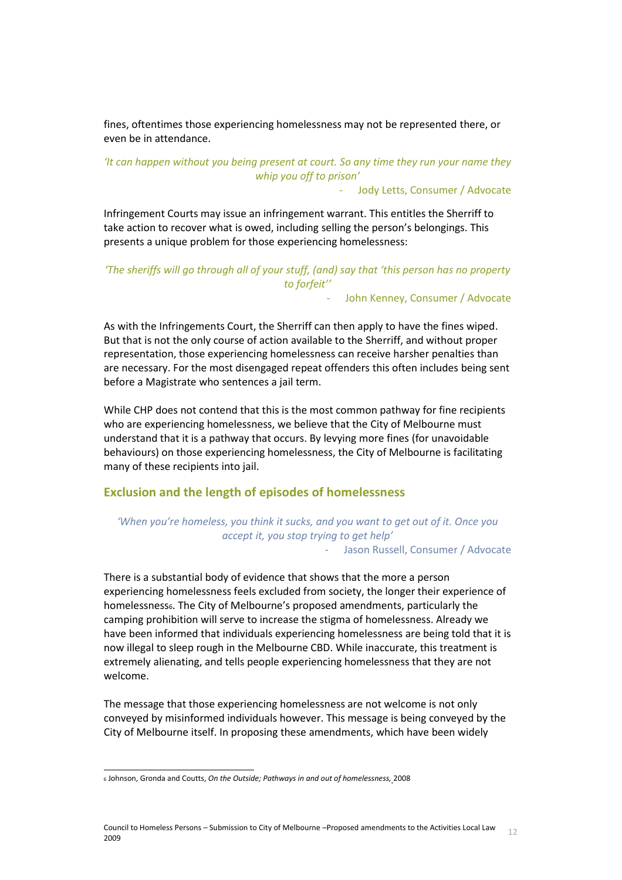fines, oftentimes those experiencing homelessness may not be represented there, or even be in attendance.

## *'It can happen without you being present at court. So any time they run your name they whip you off to prison'*

- Jody Letts, Consumer / Advocate

Infringement Courts may issue an infringement warrant. This entitles the Sherriff to take action to recover what is owed, including selling the person's belongings. This presents a unique problem for those experiencing homelessness:

*'The sheriffs will go through all of your stuff, (and) say that 'this person has no property to forfeit''*

John Kenney, Consumer / Advocate

As with the Infringements Court, the Sherriff can then apply to have the fines wiped. But that is not the only course of action available to the Sherriff, and without proper representation, those experiencing homelessness can receive harsher penalties than are necessary. For the most disengaged repeat offenders this often includes being sent before a Magistrate who sentences a jail term.

While CHP does not contend that this is the most common pathway for fine recipients who are experiencing homelessness, we believe that the City of Melbourne must understand that it is a pathway that occurs. By levying more fines (for unavoidable behaviours) on those experiencing homelessness, the City of Melbourne is facilitating many of these recipients into jail.

## <span id="page-11-0"></span>**Exclusion and the length of episodes of homelessness**

*'When you're homeless, you think it sucks, and you want to get out of it. Once you accept it, you stop trying to get help'* Jason Russell, Consumer / Advocate

There is a substantial body of evidence that shows that the more a person experiencing homelessness feels excluded from society, the longer their experience of homelessness<sub>6</sub>. The City of Melbourne's proposed amendments, particularly the camping prohibition will serve to increase the stigma of homelessness. Already we have been informed that individuals experiencing homelessness are being told that it is now illegal to sleep rough in the Melbourne CBD. While inaccurate, this treatment is extremely alienating, and tells people experiencing homelessness that they are not welcome.

The message that those experiencing homelessness are not welcome is not only conveyed by misinformed individuals however. This message is being conveyed by the City of Melbourne itself. In proposing these amendments, which have been widely

<sup>6</sup> Johnson, Gronda and Coutts, *On the Outside; Pathways in and out of homelessness,* 2008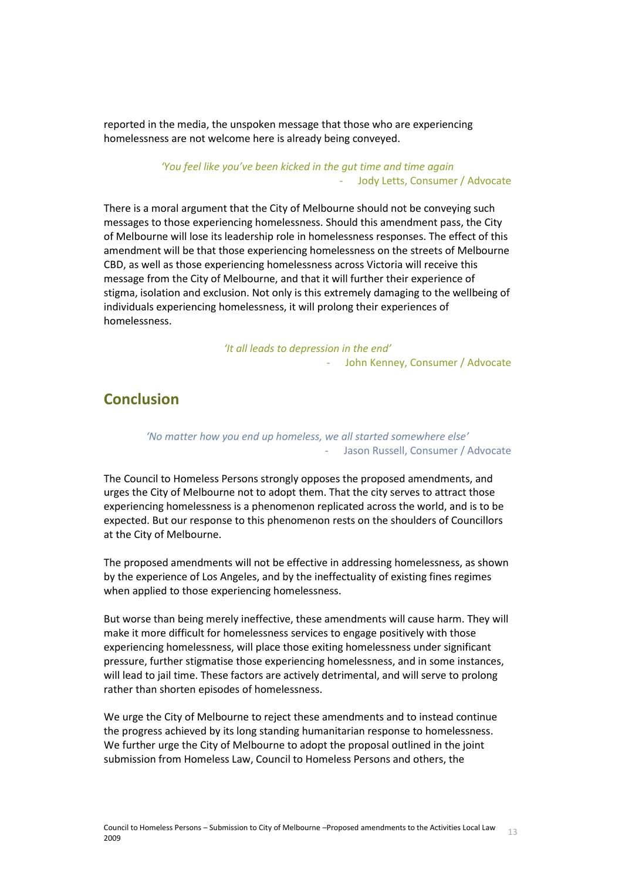reported in the media, the unspoken message that those who are experiencing homelessness are not welcome here is already being conveyed.

#### *'You feel like you've been kicked in the gut time and time again* Jody Letts, Consumer / Advocate

There is a moral argument that the City of Melbourne should not be conveying such messages to those experiencing homelessness. Should this amendment pass, the City of Melbourne will lose its leadership role in homelessness responses. The effect of this amendment will be that those experiencing homelessness on the streets of Melbourne CBD, as well as those experiencing homelessness across Victoria will receive this message from the City of Melbourne, and that it will further their experience of stigma, isolation and exclusion. Not only is this extremely damaging to the wellbeing of individuals experiencing homelessness, it will prolong their experiences of homelessness.

> *'It all leads to depression in the end'* John Kenney, Consumer / Advocate

## <span id="page-12-0"></span>**Conclusion**

### *'No matter how you end up homeless, we all started somewhere else'* - Jason Russell, Consumer / Advocate

The Council to Homeless Persons strongly opposes the proposed amendments, and urges the City of Melbourne not to adopt them. That the city serves to attract those experiencing homelessness is a phenomenon replicated across the world, and is to be expected. But our response to this phenomenon rests on the shoulders of Councillors at the City of Melbourne.

The proposed amendments will not be effective in addressing homelessness, as shown by the experience of Los Angeles, and by the ineffectuality of existing fines regimes when applied to those experiencing homelessness.

But worse than being merely ineffective, these amendments will cause harm. They will make it more difficult for homelessness services to engage positively with those experiencing homelessness, will place those exiting homelessness under significant pressure, further stigmatise those experiencing homelessness, and in some instances, will lead to jail time. These factors are actively detrimental, and will serve to prolong rather than shorten episodes of homelessness.

We urge the City of Melbourne to reject these amendments and to instead continue the progress achieved by its long standing humanitarian response to homelessness. We further urge the City of Melbourne to adopt the proposal outlined in the joint submission from Homeless Law, Council to Homeless Persons and others, the